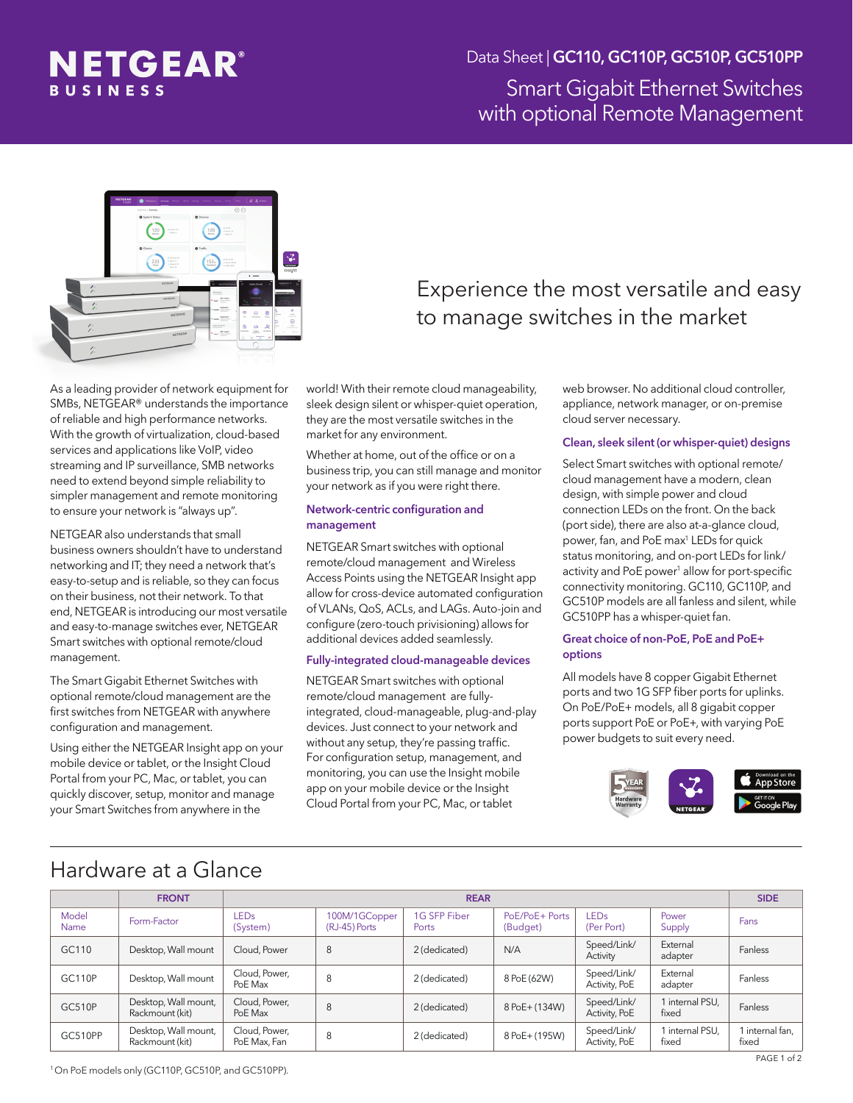

## Smart Gigabit Ethernet Switches with optional Remote Management Data Sheet | GC110, GC110P, GC510P, GC510PP



As a leading provider of network equipment for SMBs, NETGEAR® understands the importance of reliable and high performance networks. With the growth of virtualization, cloud-based services and applications like VoIP, video streaming and IP surveillance, SMB networks need to extend beyond simple reliability to simpler management and remote monitoring to ensure your network is "always up".

NETGEAR also understands that small business owners shouldn't have to understand networking and IT; they need a network that's easy-to-setup and is reliable, so they can focus on their business, not their network. To that end, NETGEAR is introducing our most versatile and easy-to-manage switches ever, NETGEAR Smart switches with optional remote/cloud management.

The Smart Gigabit Ethernet Switches with optional remote/cloud management are the first switches from NETGEAR with anywhere configuration and management.

Using either the NETGEAR Insight app on your mobile device or tablet, or the Insight Cloud Portal from your PC, Mac, or tablet, you can quickly discover, setup, monitor and manage your Smart Switches from anywhere in the

# Experience the most versatile and easy to manage switches in the market

world! With their remote cloud manageability, sleek design silent or whisper-quiet operation, they are the most versatile switches in the market for any environment.

Whether at home, out of the office or on a business trip, you can still manage and monitor your network as if you were right there.

#### Network-centric configuration and management

NETGEAR Smart switches with optional remote/cloud management and Wireless Access Points using the NETGEAR Insight app allow for cross-device automated configuration of VLANs, QoS, ACLs, and LAGs. Auto-join and configure (zero-touch privisioning) allows for additional devices added seamlessly.

### Fully-integrated cloud-manageable devices

NETGEAR Smart switches with optional remote/cloud management are fullyintegrated, cloud-manageable, plug-and-play devices. Just connect to your network and without any setup, they're passing traffic. For configuration setup, management, and monitoring, you can use the Insight mobile app on your mobile device or the Insight Cloud Portal from your PC, Mac, or tablet

web browser. No additional cloud controller, appliance, network manager, or on-premise cloud server necessary.

### Clean, sleek silent (or whisper-quiet) designs

Select Smart switches with optional remote/ cloud management have a modern, clean design, with simple power and cloud connection LEDs on the front. On the back (port side), there are also at-a-glance cloud, power, fan, and PoE max<sup>1</sup> LEDs for quick status monitoring, and on-port LEDs for link/ activity and PoE power<sup>1</sup> allow for port-specific connectivity monitoring. GC110, GC110P, and GC510P models are all fanless and silent, while GC510PP has a whisper-quiet fan.

#### Great choice of non-PoE, PoE and PoE+ options

All models have 8 copper Gigabit Ethernet ports and two 1G SFP fiber ports for uplinks. On PoE/PoE+ models, all 8 gigabit copper ports support PoE or PoE+, with varying PoE power budgets to suit every need.



## Hardware at a Glance

|               | <b>FRONT</b>                            | <b>REAR</b>                   |                                |                       |                            |                                |                          |                          |  |
|---------------|-----------------------------------------|-------------------------------|--------------------------------|-----------------------|----------------------------|--------------------------------|--------------------------|--------------------------|--|
| Model<br>Name | Form-Factor                             | <b>LEDs</b><br>(System)       | 100M/1GCopper<br>(RJ-45) Ports | 1G SFP Fiber<br>Ports | PoE/PoE+ Ports<br>(Budget) | LED <sub>s</sub><br>(Per Port) | Power<br>Supply          | Fans                     |  |
| GC110         | Desktop, Wall mount                     | Cloud, Power                  | 8                              | 2 (dedicated)         | N/A                        | Speed/Link/<br>Activity        | External<br>adapter      | Fanless                  |  |
| <b>GC110P</b> | Desktop, Wall mount                     | Cloud, Power,<br>PoE Max      | 8                              | 2 (dedicated)         | 8 PoE (62W)                | Speed/Link/<br>Activity, PoE   | External<br>adapter      | Fanless                  |  |
| GC510P        | Desktop, Wall mount,<br>Rackmount (kit) | Cloud, Power,<br>PoE Max      | 8                              | 2 (dedicated)         | 8 PoE+ (134W)              | Speed/Link/<br>Activity, PoE   | 1 internal PSU,<br>fixed | Fanless                  |  |
| GC510PP       | Desktop, Wall mount,<br>Rackmount (kit) | Cloud, Power,<br>PoE Max, Fan | 8                              | 2 (dedicated)         | 8 PoE+ (195W)              | Speed/Link/<br>Activity, PoE   | 1 internal PSU.<br>fixed | I internal fan,<br>fixed |  |